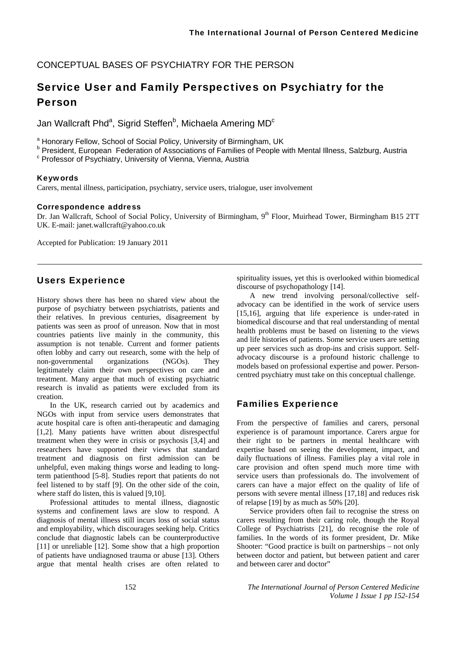## CONCEPTUAL BASES OF PSYCHIATRY FOR THE PERSON

# Service User and Family Perspectives on Psychiatry for the Person

Jan Wallcraft Phd<sup>a</sup>, Sigrid Steffen<sup>b</sup>, Michaela Amering MD<sup>c</sup>

<sup>a</sup> Honorary Fellow, School of Social Policy, University of Birmingham, UK<br><sup>b</sup> President, European, Federation of Associations of Families of Bearla u

**President, European Federation of Associations of Families of People with Mental Illness, Salzburg, Austria** 

 $\textdegree$  Professor of Psychiatry, University of Vienna, Vienna, Austria

#### Keywords

Carers, mental illness, participation, psychiatry, service users, trialogue, user involvement

#### Correspondence address

Dr. Jan Wallcraft, School of Social Policy, University of Birmingham, 9<sup>th</sup> Floor, Muirhead Tower, Birmingham B15 2TT UK. E-mail: janet.wallcraft@yahoo.co.uk

Accepted for Publication: 19 January 2011

# Users Experience

History shows there has been no shared view about the purpose of psychiatry between psychiatrists, patients and their relatives. In previous centuries, disagreement by patients was seen as proof of unreason. Now that in most countries patients live mainly in the community, this assumption is not tenable. Current and former patients often lobby and carry out research, some with the help of non-governmental organizations (NGOs). They legitimately claim their own perspectives on care and treatment. Many argue that much of existing psychiatric research is invalid as patients were excluded from its creation.

In the UK, research carried out by academics and NGOs with input from service users demonstrates that acute hospital care is often anti-therapeutic and damaging [1,2]. Many patients have written about disrespectful treatment when they were in crisis or psychosis [3,4] and researchers have supported their views that standard treatment and diagnosis on first admission can be unhelpful, even making things worse and leading to longterm patienthood [5-8]. Studies report that patients do not feel listened to by staff [9]. On the other side of the coin, where staff do listen, this is valued [9,10].

Professional attitudes to mental illness, diagnostic systems and confinement laws are slow to respond. A diagnosis of mental illness still incurs loss of social status and employability, which discourages seeking help. Critics conclude that diagnostic labels can be counterproductive [11] or unreliable [12]. Some show that a high proportion of patients have undiagnosed trauma or abuse [13]. Others argue that mental health crises are often related to

spirituality issues, yet this is overlooked within biomedical discourse of psychopathology [14].

A new trend involving personal/collective selfadvocacy can be identified in the work of service users [15,16], arguing that life experience is under-rated in biomedical discourse and that real understanding of mental health problems must be based on listening to the views and life histories of patients. Some service users are setting up peer services such as drop-ins and crisis support. Selfadvocacy discourse is a profound historic challenge to models based on professional expertise and power. Personcentred psychiatry must take on this conceptual challenge.

## Families Experience

From the perspective of families and carers, personal experience is of paramount importance. Carers argue for their right to be partners in mental healthcare with expertise based on seeing the development, impact, and daily fluctuations of illness. Families play a vital role in care provision and often spend much more time with service users than professionals do. The involvement of carers can have a major effect on the quality of life of persons with severe mental illness [17,18] and reduces risk of relapse [19] by as much as 50% [20].

Service providers often fail to recognise the stress on carers resulting from their caring role, though the Royal College of Psychiatrists [21], do recognise the role of families. In the words of its former president, Dr. Mike Shooter: "Good practice is built on partnerships – not only between doctor and patient, but between patient and carer and between carer and doctor"

152 *The International Journal of Person Centered Medicine Volume 1 Issue 1 pp 152-154*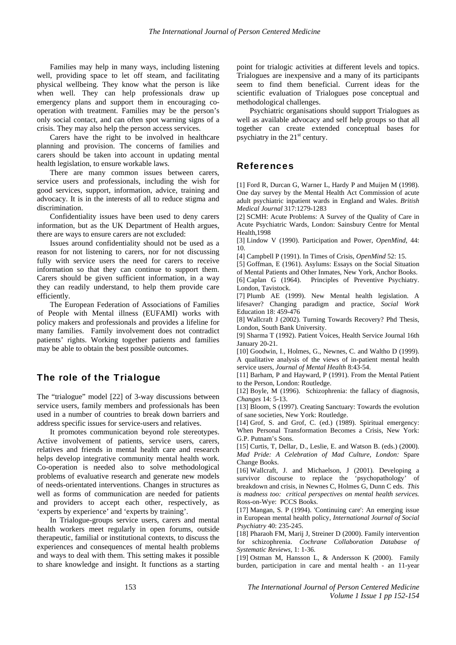Families may help in many ways, including listening well, providing space to let off steam, and facilitating physical wellbeing. They know what the person is like when well. They can help professionals draw up emergency plans and support them in encouraging cooperation with treatment. Families may be the person's only social contact, and can often spot warning signs of a crisis. They may also help the person access services.

Carers have the right to be involved in healthcare planning and provision. The concerns of families and carers should be taken into account in updating mental health legislation, to ensure workable laws.

There are many common issues between carers, service users and professionals, including the wish for good services, support, information, advice, training and advocacy. It is in the interests of all to reduce stigma and discrimination.

Confidentiality issues have been used to deny carers information, but as the UK Department of Health argues, there are ways to ensure carers are not excluded:

Issues around confidentiality should not be used as a reason for not listening to carers, nor for not discussing fully with service users the need for carers to receive information so that they can continue to support them. Carers should be given sufficient information, in a way they can readily understand, to help them provide care efficiently.

The European Federation of Associations of Families of People with Mental illness (EUFAMI) works with policy makers and professionals and provides a lifeline for many families. Family involvement does not contradict patients' rights. Working together patients and families may be able to obtain the best possible outcomes.

### The role of the Trialogue

The "trialogue" model [22] of 3-way discussions between service users, family members and professionals has been used in a number of countries to break down barriers and address specific issues for service-users and relatives.

It promotes communication beyond role stereotypes. Active involvement of patients, service users, carers, relatives and friends in mental health care and research helps develop integrative community mental health work. Co-operation is needed also to solve methodological problems of evaluative research and generate new models of needs-orientated interventions. Changes in structures as well as forms of communication are needed for patients and providers to accept each other, respectively, as 'experts by experience' and 'experts by training'.

In Trialogue-groups service users, carers and mental health workers meet regularly in open forums, outside therapeutic, familial or institutional contexts, to discuss the experiences and consequences of mental health problems and ways to deal with them. This setting makes it possible to share knowledge and insight. It functions as a starting point for trialogic activities at different levels and topics. Trialogues are inexpensive and a many of its participants seem to find them beneficial. Current ideas for the scientific evaluation of Trialogues pose conceptual and methodological challenges.

Psychiatric organisations should support Trialogues as well as available advocacy and self help groups so that all together can create extended conceptual bases for psychiatry in the  $21<sup>st</sup>$  century.

### References

[1] Ford R, Durcan G, Warner L, Hardy P and Muijen M (1998). One day survey by the Mental Health Act Commission of acute adult psychiatric inpatient wards in England and Wales. *British Medical Journal* 317:1279-1283

[2] SCMH: Acute Problems: A Survey of the Quality of Care in Acute Psychiatric Wards, London: Sainsbury Centre for Mental Health,1998

[3] Lindow V (1990). Participation and Power, *OpenMind*, 44: 10.

- [4] Campbell P (1991). In Times of Crisis, *OpenMind* 52: 15.
- [5] Goffman, E (1961). Asylums: Essays on the Social Situation

of Mental Patients and Other Inmates, New York, Anchor Books. [6] Caplan G (1964). Principles of Preventive Psychiatry. London, Tavistock.

[7] Plumb AE (1999). New Mental health legislation. A lifesaver? Changing paradigm and practice, *Social Work* Education 18: 459-476

[8] Wallcraft J (2002). Turning Towards Recovery? Phd Thesis, London, South Bank University.

[9] Sharma T (1992). Patient Voices, Health Service Journal 16th January 20-21.

[10] Goodwin, I., Holmes, G., Newnes, C. and Waltho D (1999). A qualitative analysis of the views of in-patient mental health service users, *Journal of Mental Health* 8:43-54.

[11] Barham, P and Hayward, P (1991). From the Mental Patient to the Person, London: Routledge.

[12] Boyle, M (1996). Schizophrenia: the fallacy of diagnosis, *Changes* 14: 5-13.

[13] Bloom, S (1997). Creating Sanctuary: Towards the evolution of sane societies, New York: Routledge.

[14] Grof, S. and Grof, C. (ed.) (1989). Spiritual emergency: When Personal Transformation Becomes a Crisis, New York: G.P. Putnam's Sons.

[15] Curtis, T, Dellar, D., Leslie, E. and Watson B. (eds.) (2000). *Mad Pride: A Celebration of Mad Culture, London:* Spare Change Books.

[16] Wallcraft, J. and Michaelson, J (2001). Developing a survivor discourse to replace the 'psychopathology' of breakdown and crisis, in Newnes C, Holmes G, Dunn C eds. *This is madness too: critical perspectives on mental health services.* Ross-on-Wye: PCCS Books.

[17] Mangan, S. P (1994). 'Continuing care': An emerging issue in European mental health policy, *International Journal of Social Psychiatry* 40: 235-245.

[18] Pharaoh FM, Marij J, Streiner D (2000). Family intervention for schizophrenia. *Cochrane Collaboration Database of Systematic Reviews*, 1: 1-36.

[19] Ostman M, Hansson L, & Andersson K (2000). Family burden, participation in care and mental health - an 11-year

153 *The International Journal of Person Centered Medicine Volume 1 Issue 1 pp 152-154*